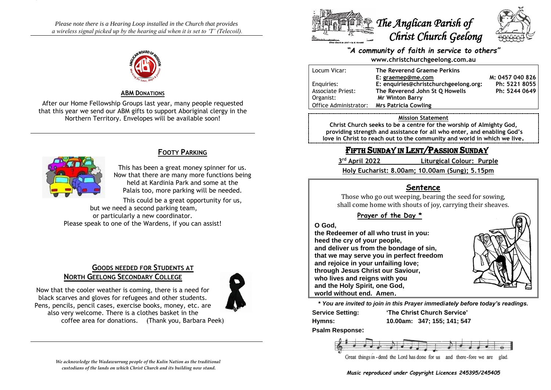*Please note there is a Hearing Loop installed in the Church that provides a wireless signal picked up by the hearing aid when it is set to 'T' (Telecoil).*



#### **ABM DONATIONS**

After our Home Fellowship Groups last year, many people requested that this year we send our ABM gifts to support Aboriginal clergy in the Northern Territory. Envelopes will be available soon!



## **FOOTY PARKING**

This has been a great money spinner for us. Now that there are many more functions being held at Kardinia Park and some at the Palais too, more parking will be needed.

This could be a great opportunity for us, but we need a second parking team, or particularly a new coordinator. Please speak to one of the Wardens, if you can assist!

# **GOODS NEEDED FOR STUDENTS AT NORTH GEELONG SECONDARY COLLEGE**

Now that the cooler weather is coming, there is a need for black scarves and gloves for refugees and other students.

also very welcome. There is a clothes basket in the

Pens, pencils, pencil cases, exercise books, money, etc. are

*We acknowledge the Wadawurrung people of the Kulin Nation as the traditional custodians of the lands on which Christ Church and its building now stand.*

coffee area for donations. (Thank you, Barbara Peek)



#### *"A community of faith in service to others"* **www.christchurchgeelong.com.au**

Locum Vicar: **The Reverend Graeme Perkins E: [graemep@me.com](mailto:graemep@me.com) M: 0457 040 826** Enquiries: **E: enquiries@christchurchgeelong.org: Ph: 5221 8055** Associate Priest: **The Reverend John St Q Howells Ph: 5244 0649** Organist: **Mr Winton Barry** Office Administrator: **Mrs Patricia Cowling**

#### **Mission Statement**

**Christ Church seeks to be a centre for the worship of Almighty God, providing strength and assistance for all who enter, and enabling God's love in Christ to reach out to the community and world in which we live.**

# FIFTH SUNDAY IN LENT/PASSION SUNDAY

| 3rd April 2022 | Liturgical Colour: Purple                      |
|----------------|------------------------------------------------|
|                | Holy Eucharist: 8.00am; 10.00am (Sung); 5.15pm |

### **Sentence**

Those who go out weeping, bearing the seed for sowing, shall come home with shouts of joy, carrying their sheaves.

#### **Prayer of the Day \***

#### **O God,**

**the Redeemer of all who trust in you: heed the cry of your people, and deliver us from the bondage of sin, that we may serve you in perfect freedom and rejoice in your unfailing love; through Jesus Christ our Saviour, who lives and reigns with you and the Holy Spirit, one God, world without end. Amen.**



**\*** *You are invited to join in this Prayer immediately before today's readings.*

**Service Setting: 'The Christ Church Service'**

**Hymns: 10.00am: 347; 155; 141; 547**

**Psalm Response:**



Great things in - deed the Lord has done for us and there -fore we are glad.